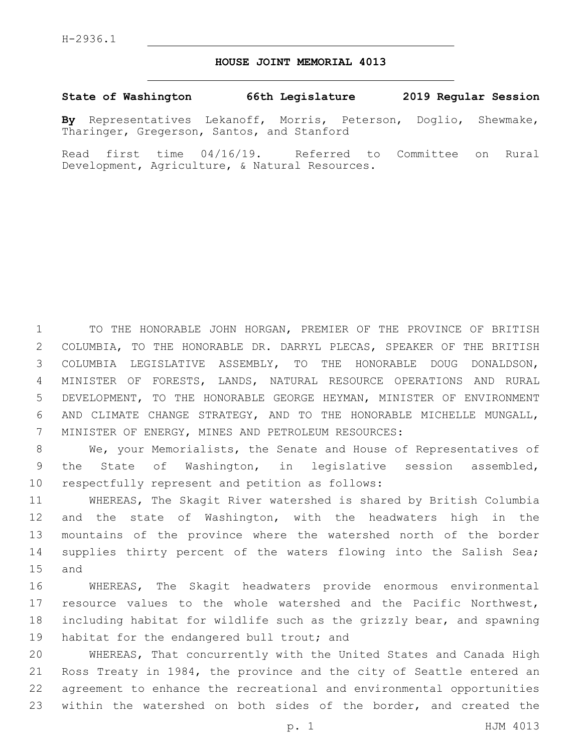## **HOUSE JOINT MEMORIAL 4013**

## **State of Washington 66th Legislature 2019 Regular Session**

**By** Representatives Lekanoff, Morris, Peterson, Doglio, Shewmake, Tharinger, Gregerson, Santos, and Stanford

Read first time 04/16/19. Referred to Committee on Rural Development, Agriculture, & Natural Resources.

 TO THE HONORABLE JOHN HORGAN, PREMIER OF THE PROVINCE OF BRITISH COLUMBIA, TO THE HONORABLE DR. DARRYL PLECAS, SPEAKER OF THE BRITISH COLUMBIA LEGISLATIVE ASSEMBLY, TO THE HONORABLE DOUG DONALDSON, MINISTER OF FORESTS, LANDS, NATURAL RESOURCE OPERATIONS AND RURAL DEVELOPMENT, TO THE HONORABLE GEORGE HEYMAN, MINISTER OF ENVIRONMENT AND CLIMATE CHANGE STRATEGY, AND TO THE HONORABLE MICHELLE MUNGALL, 7 MINISTER OF ENERGY, MINES AND PETROLEUM RESOURCES:

8 We, your Memorialists, the Senate and House of Representatives of 9 the State of Washington, in legislative session assembled, 10 respectfully represent and petition as follows:

11 WHEREAS, The Skagit River watershed is shared by British Columbia 12 and the state of Washington, with the headwaters high in the 13 mountains of the province where the watershed north of the border 14 supplies thirty percent of the waters flowing into the Salish Sea; 15 and

 WHEREAS, The Skagit headwaters provide enormous environmental resource values to the whole watershed and the Pacific Northwest, including habitat for wildlife such as the grizzly bear, and spawning 19 habitat for the endangered bull trout; and

 WHEREAS, That concurrently with the United States and Canada High Ross Treaty in 1984, the province and the city of Seattle entered an agreement to enhance the recreational and environmental opportunities 23 within the watershed on both sides of the border, and created the

p. 1 HJM 4013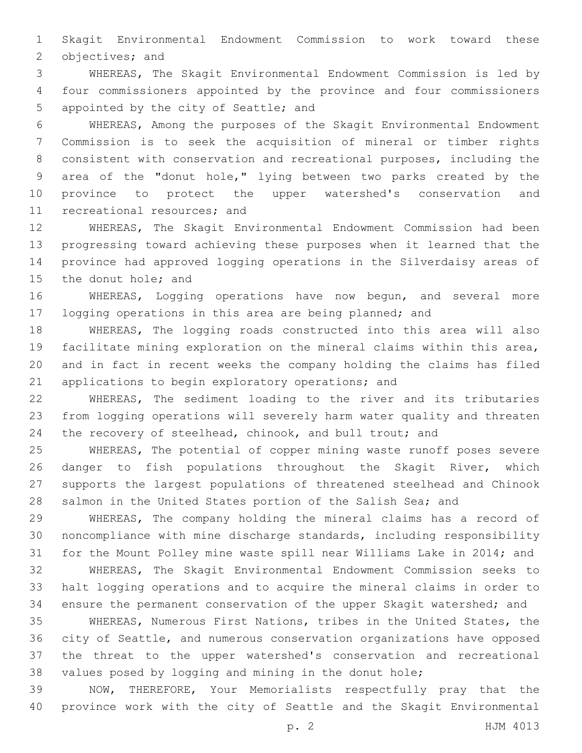Skagit Environmental Endowment Commission to work toward these 2 objectives; and

 WHEREAS, The Skagit Environmental Endowment Commission is led by four commissioners appointed by the province and four commissioners 5 appointed by the city of Seattle; and

 WHEREAS, Among the purposes of the Skagit Environmental Endowment Commission is to seek the acquisition of mineral or timber rights consistent with conservation and recreational purposes, including the area of the "donut hole," lying between two parks created by the province to protect the upper watershed's conservation and 11 recreational resources; and

 WHEREAS, The Skagit Environmental Endowment Commission had been progressing toward achieving these purposes when it learned that the province had approved logging operations in the Silverdaisy areas of 15 the donut hole; and

 WHEREAS, Logging operations have now begun, and several more logging operations in this area are being planned; and

 WHEREAS, The logging roads constructed into this area will also facilitate mining exploration on the mineral claims within this area, and in fact in recent weeks the company holding the claims has filed 21 applications to begin exploratory operations; and

 WHEREAS, The sediment loading to the river and its tributaries from logging operations will severely harm water quality and threaten 24 the recovery of steelhead, chinook, and bull trout; and

 WHEREAS, The potential of copper mining waste runoff poses severe danger to fish populations throughout the Skagit River, which supports the largest populations of threatened steelhead and Chinook salmon in the United States portion of the Salish Sea; and

 WHEREAS, The company holding the mineral claims has a record of noncompliance with mine discharge standards, including responsibility for the Mount Polley mine waste spill near Williams Lake in 2014; and

 WHEREAS, The Skagit Environmental Endowment Commission seeks to halt logging operations and to acquire the mineral claims in order to ensure the permanent conservation of the upper Skagit watershed; and

 WHEREAS, Numerous First Nations, tribes in the United States, the city of Seattle, and numerous conservation organizations have opposed the threat to the upper watershed's conservation and recreational values posed by logging and mining in the donut hole;

 NOW, THEREFORE, Your Memorialists respectfully pray that the province work with the city of Seattle and the Skagit Environmental

p. 2 HJM 4013